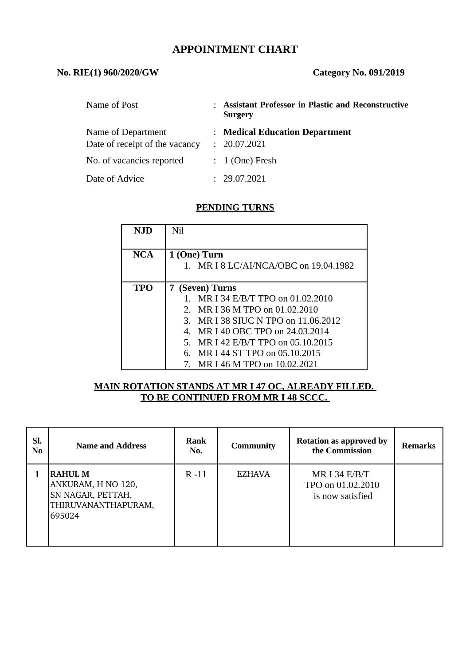# **APPOINTMENT CHART**

#### **No. RIE(1) 960/2020/GW Category No. 091/2019**

| Name of Post                   | : Assistant Professor in Plastic and Reconstructive<br><b>Surgery</b> |
|--------------------------------|-----------------------------------------------------------------------|
| Name of Department             | : Medical Education Department                                        |
| Date of receipt of the vacancy | : 20.07.2021                                                          |
| No. of vacancies reported      | $: 1$ (One) Fresh                                                     |
| Date of Advice                 | 29.07.2021                                                            |

### **PENDING TURNS**

| <b>NJD</b> | Nil                                                   |  |  |  |
|------------|-------------------------------------------------------|--|--|--|
| <b>NCA</b> | 1 (One) Turn<br>1. MR I 8 LC/AI/NCA/OBC on 19.04.1982 |  |  |  |
|            |                                                       |  |  |  |
| TPO        | 7 (Seven) Turns                                       |  |  |  |
|            | MR I 34 E/B/T TPO on 01.02.2010                       |  |  |  |
|            | MR I 36 M TPO on 01.02.2010<br>$\mathcal{P}$          |  |  |  |
|            | 3. MR I 38 SIUC N TPO on 11.06.2012                   |  |  |  |
|            | 4. MR I 40 OBC TPO on 24,03,2014                      |  |  |  |
|            | 5. MR I 42 E/B/T TPO on 05.10.2015                    |  |  |  |
|            | MR I 44 ST TPO on 05.10.2015<br>6.                    |  |  |  |
|            | 7. MR I 46 M TPO on 10.02.2021                        |  |  |  |

## **MAIN ROTATION STANDS AT MR I 47 OC, ALREADY FILLED. TO BE CONTINUED FROM MR I 48 SCCC.**

| SI.<br>N <sub>0</sub> | <b>Name and Address</b>                                                                    | <b>Rank</b><br>No. | <b>Community</b> | <b>Rotation as approved by</b><br>the Commission         | <b>Remarks</b> |
|-----------------------|--------------------------------------------------------------------------------------------|--------------------|------------------|----------------------------------------------------------|----------------|
|                       | <b>RAHUL M</b><br>ANKURAM, H NO 120,<br>SN NAGAR, PETTAH,<br>THIRUVANANTHAPURAM,<br>695024 | $R - 11$           | <b>EZHAVA</b>    | MR I 34 $E/B/T$<br>TPO on 01.02.2010<br>is now satisfied |                |